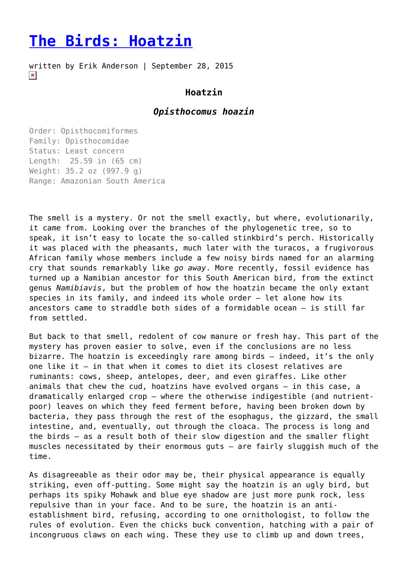## **[The Birds: Hoatzin](https://entropymag.org/the-birds-hoatzin/)**

written by Erik Anderson | September 28, 2015  $\pmb{\times}$ 

## **Hoatzin**

## *Opisthocomus hoazin*

Order: Opisthocomiformes Family: Opisthocomidae Status: Least concern Length: 25.59 in (65 cm) Weight: 35.2 oz (997.9 g) Range: Amazonian South America

The smell is a mystery. Or not the smell exactly, but where, evolutionarily, it came from. Looking over the branches of the phylogenetic tree, so to speak, it isn't easy to locate the so-called stinkbird's perch. Historically it was placed with the pheasants, much later with the turacos, a frugivorous African family whose members include a few noisy birds named for an alarming cry that sounds remarkably like *go away*. More recently, fossil evidence has turned up a Namibian ancestor for this South American bird, from the extinct genus *Namibiavis*, but the problem of how the hoatzin became the only extant species in its family, and indeed its whole order – let alone how its ancestors came to straddle both sides of a formidable ocean – is still far from settled.

But back to that smell, redolent of cow manure or fresh hay. This part of the mystery has proven easier to solve, even if the conclusions are no less bizarre. The hoatzin is exceedingly rare among birds – indeed, it's the only one like it – in that when it comes to diet its closest relatives are ruminants: cows, sheep, antelopes, deer, and even giraffes. Like other animals that chew the cud, hoatzins have evolved organs – in this case, a dramatically enlarged crop – where the otherwise indigestible (and nutrientpoor) leaves on which they feed ferment before, having been broken down by bacteria, they pass through the rest of the esophagus, the gizzard, the small intestine, and, eventually, out through the cloaca. The process is long and the birds – as a result both of their slow digestion and the smaller flight muscles necessitated by their enormous guts – are fairly sluggish much of the time.

As disagreeable as their odor may be, their physical appearance is equally striking, even off-putting. Some might say the hoatzin is an ugly bird, but perhaps its spiky Mohawk and blue eye shadow are just more punk rock, less repulsive than in your face. And to be sure, the hoatzin is an antiestablishment bird, refusing, according to one ornithologist, to follow the rules of evolution. Even the chicks buck convention, hatching with a pair of incongruous claws on each wing. These they use to climb up and down trees,